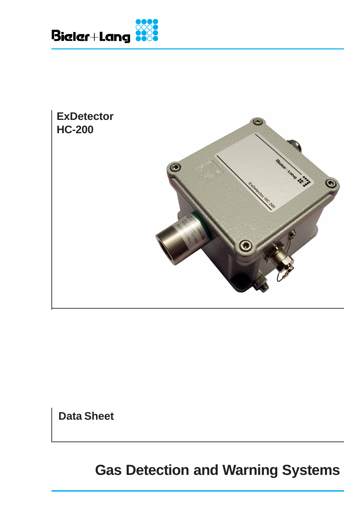



**Data Sheet**

**Gas Detection and Warning Systems**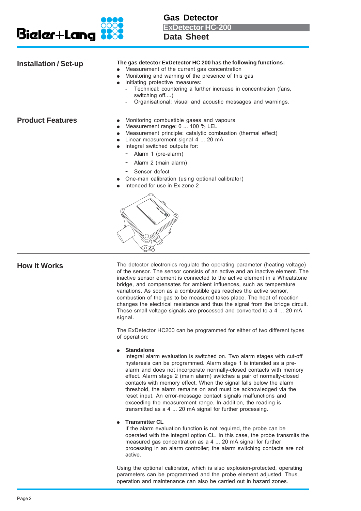

**Gas Detector**

**ExDetector HC-200**

**Data Sheet**

| <b>Installation / Set-up</b> | The gas detector ExDetector HC 200 has the following functions:<br>Measurement of the current gas concentration<br>Monitoring and warning of the presence of this gas<br>Initiating protective measures:<br>Technical: countering a further increase in concentration (fans,<br>switching off)<br>Organisational: visual and acoustic messages and warnings.            |
|------------------------------|-------------------------------------------------------------------------------------------------------------------------------------------------------------------------------------------------------------------------------------------------------------------------------------------------------------------------------------------------------------------------|
| <b>Product Features</b>      | Monitoring combustible gases and vapours<br>Measurement range: 0  100 % LEL<br>Measurement principle: catalytic combustion (thermal effect)<br>Linear measurement signal 4  20 mA<br>Integral switched outputs for:<br>Alarm 1 (pre-alarm)<br>Alarm 2 (main alarm)<br>Sensor defect<br>One-man calibration (using optional calibrator)<br>Intended for use in Ex-zone 2 |
|                              |                                                                                                                                                                                                                                                                                                                                                                         |

**How It Works** The detector electronics regulate the operating parameter (heating voltage) of the sensor. The sensor consists of an active and an inactive element. The inactive sensor element is connected to the active element in a Wheatstone bridge, and compensates for ambient influences, such as temperature variations. As soon as a combustible gas reaches the active sensor, combustion of the gas to be measured takes place. The heat of reaction changes the electrical resistance and thus the signal from the bridge circuit. These small voltage signals are processed and converted to a 4 ... 20 mA signal.

> The ExDetector HC200 can be programmed for either of two different types of operation:

## ● **Standalone**

Integral alarm evaluation is switched on. Two alarm stages with cut-off hysteresis can be programmed. Alarm stage 1 is intended as a prealarm and does not incorporate normally-closed contacts with memory effect. Alarm stage 2 (main alarm) switches a pair of normally-closed contacts with memory effect. When the signal falls below the alarm threshold, the alarm remains on and must be acknowledged via the reset input. An error-message contact signals malfunctions and exceeding the measurement range. In addition, the reading is transmitted as a 4 ... 20 mA signal for further processing.

## ● **Transmitter CL**

If the alarm evaluation function is not required, the probe can be operated with the integral option CL. In this case, the probe transmits the measured gas concentration as a 4 ... 20 mA signal for further processing in an alarm controller; the alarm switching contacts are not active.

Using the optional calibrator, which is also explosion-protected, operating parameters can be programmed and the probe element adjusted. Thus, operation and maintenance can also be carried out in hazard zones.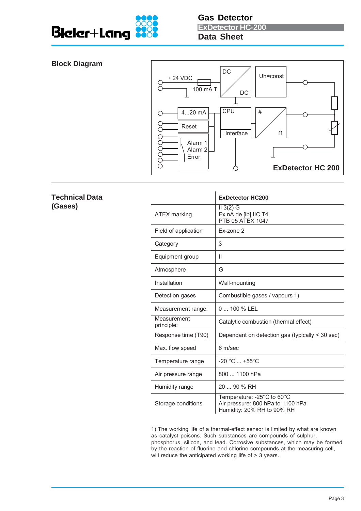

## **Block Diagram**



# **Technical Data (Gases) ExDetector HC200** ATEX marking II 3(2) G Ex nA de [ib] IIC T4 PTB 05 ATEX 1047 Field of application | Ex-zone 2 Category 3 Equipment group | II Atmosphere G Installation | Wall-mounting Detection gases | Combustible gases / vapours 1) Measurement range: | 0 ... 100 % LEL **Measurement** principle: Catalytic combustion (thermal effect) Response time  $(T90)$  Dependant on detection gas (typically < 30 sec) Max. flow speed | 6 m/sec Temperature range  $\vert$  -20 °C ... +55°C Air pressure range  $\begin{array}{|c|c|} 800 & \dots & 1100 \text{ hPa} \end{array}$ Humidity range 20 ... 90 % RH

Storage conditions Temperature: -25°C to 60°C Air pressure: 800 hPa to 1100 hPa Humidity: 20% RH to 90% RH

1) The working life of a thermal-effect sensor is limited by what are known as catalyst poisons. Such substances are compounds of sulphur, phosphorus, silicon, and lead. Corrosive substances, which may be formed by the reaction of fluorine and chlorine compounds at the measuring cell, will reduce the anticipated working life of > 3 years.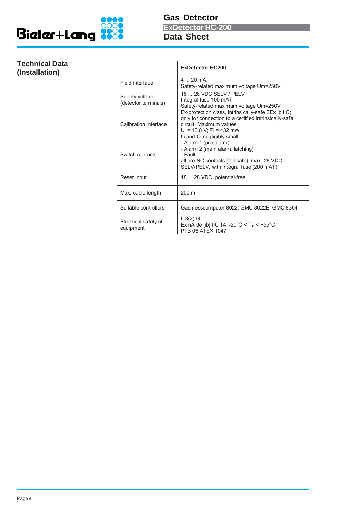

**Gas Detector Data Sheet ExDetector HC-200**

# **Technical Data**  $(Instantation)$

|                                        | <b>ExDetector HC200</b>                                                                                                                                                                               |
|----------------------------------------|-------------------------------------------------------------------------------------------------------------------------------------------------------------------------------------------------------|
| Field interface                        | $4 \times 20 \text{ mA}$<br>Safety-related maximum voltage Um=250V                                                                                                                                    |
| Supply voltage<br>(detector terminals) | 18 28 VDC SELV / PELV<br>Integral fuse 100 mAT<br>Safety-related maximum voltage Um=250V                                                                                                              |
| Calibration interface                  | Ex-protection class, intrinsically-safe EEx ib IIC;<br>only for connection to a certified intrinsically-safe<br>circuit: Maximum values:<br>$Ui = 13.8 V$ ; Pi = 432 mW<br>Li and Ci negligibly small |
| Switch contacts                        | - Alarm 1 (pre-alarm)<br>- Alarm 2 (main alarm, latching)<br>- Fault<br>all are NC contacts (fail-safe), max. 28 VDC<br>SELV/PELV, with integral fuse (200 mAT)                                       |
| Reset input                            | 18  28 VDC, potential-free                                                                                                                                                                            |
| Max. cable length                      | $200 \text{ m}$                                                                                                                                                                                       |
| Suitable controllers                   | Gasmesscomputer 8022, GMC 8022E, GMC 8364                                                                                                                                                             |
| Electrical safety of<br>equipment      | $II$ 3(2) G<br>Ex nA de [ib] IIC T4 -20°C < Ta < +55°C<br>PTB 05 ATFX 1047                                                                                                                            |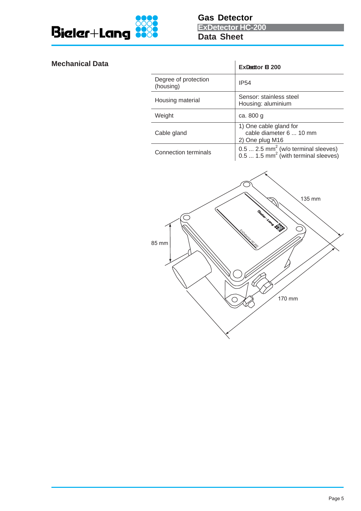

# **Mechanical Data**

|                                     | <b>ExDecttor B 200</b>                                                                              |  |
|-------------------------------------|-----------------------------------------------------------------------------------------------------|--|
| Degree of protection<br>(housing)   | <b>IP54</b>                                                                                         |  |
| Housing material                    | Sensor: stainless steel<br>Housing: aluminium                                                       |  |
| Weight                              | ca. 800 g                                                                                           |  |
| Cable gland                         | 1) One cable gland for<br>cable diameter 6  10 mm<br>2) One plug M16                                |  |
| <b>Connection terminals</b>         | 0.5  2.5 mm <sup>2</sup> (w/o terminal sleeves)<br>0.5  1.5 mm <sup>2</sup> (with terminal sleeves) |  |
| 135 mm<br>LOND &<br>85 mm<br>170 mm |                                                                                                     |  |